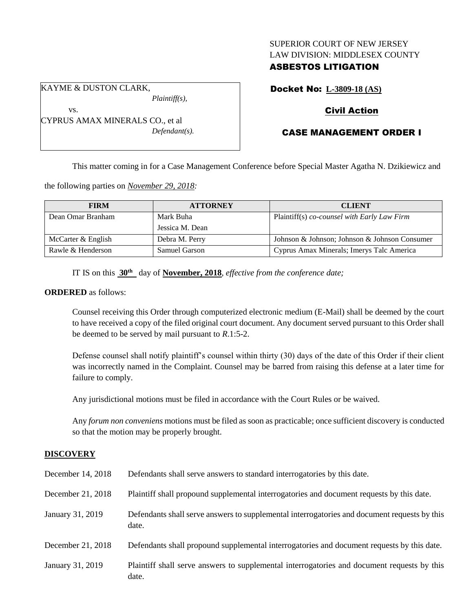## SUPERIOR COURT OF NEW JERSEY LAW DIVISION: MIDDLESEX COUNTY

## ASBESTOS LITIGATION

KAYME & DUSTON CLARK,

vs.

*Plaintiff(s),*

CYPRUS AMAX MINERALS CO., et al *Defendant(s).* Docket No: **L-3809-18 (AS)**

## Civil Action

# CASE MANAGEMENT ORDER I

This matter coming in for a Case Management Conference before Special Master Agatha N. Dzikiewicz and

the following parties on *November 29, 2018:*

| <b>FIRM</b>        | <b>ATTORNEY</b> | <b>CLIENT</b>                                 |
|--------------------|-----------------|-----------------------------------------------|
| Dean Omar Branham  | Mark Buha       | Plaintiff(s) co-counsel with Early Law Firm   |
|                    | Jessica M. Dean |                                               |
| McCarter & English | Debra M. Perry  | Johnson & Johnson; Johnson & Johnson Consumer |
| Rawle & Henderson  | Samuel Garson   | Cyprus Amax Minerals; Imerys Talc America     |

IT IS on this **30th** day of **November, 2018**, *effective from the conference date;*

## **ORDERED** as follows:

Counsel receiving this Order through computerized electronic medium (E-Mail) shall be deemed by the court to have received a copy of the filed original court document. Any document served pursuant to this Order shall be deemed to be served by mail pursuant to *R*.1:5-2.

Defense counsel shall notify plaintiff's counsel within thirty (30) days of the date of this Order if their client was incorrectly named in the Complaint. Counsel may be barred from raising this defense at a later time for failure to comply.

Any jurisdictional motions must be filed in accordance with the Court Rules or be waived.

Any *forum non conveniens* motions must be filed as soon as practicable; once sufficient discovery is conducted so that the motion may be properly brought.

## **DISCOVERY**

| December 14, 2018 | Defendants shall serve answers to standard interrogatories by this date.                              |  |
|-------------------|-------------------------------------------------------------------------------------------------------|--|
| December 21, 2018 | Plaintiff shall propound supplemental interrogatories and document requests by this date.             |  |
| January 31, 2019  | Defendants shall serve answers to supplemental interrogatories and document requests by this<br>date. |  |
| December 21, 2018 | Defendants shall propound supplemental interrogatories and document requests by this date.            |  |
| January 31, 2019  | Plaintiff shall serve answers to supplemental interrogatories and document requests by this<br>date.  |  |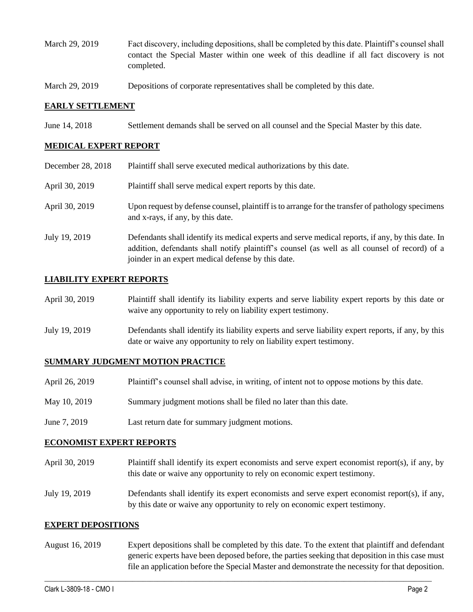- March 29, 2019 Fact discovery, including depositions, shall be completed by this date. Plaintiff's counsel shall contact the Special Master within one week of this deadline if all fact discovery is not completed.
- March 29, 2019 Depositions of corporate representatives shall be completed by this date.

#### **EARLY SETTLEMENT**

June 14, 2018 Settlement demands shall be served on all counsel and the Special Master by this date.

### **MEDICAL EXPERT REPORT**

| December 28, 2018 | Plaintiff shall serve executed medical authorizations by this date.                                                                                                                                                                                      |  |
|-------------------|----------------------------------------------------------------------------------------------------------------------------------------------------------------------------------------------------------------------------------------------------------|--|
| April 30, 2019    | Plaintiff shall serve medical expert reports by this date.                                                                                                                                                                                               |  |
| April 30, 2019    | Upon request by defense counsel, plaintiff is to arrange for the transfer of pathology specimens<br>and x-rays, if any, by this date.                                                                                                                    |  |
| July 19, 2019     | Defendants shall identify its medical experts and serve medical reports, if any, by this date. In<br>addition, defendants shall notify plaintiff's counsel (as well as all counsel of record) of a<br>joinder in an expert medical defense by this date. |  |

#### **LIABILITY EXPERT REPORTS**

| April 30, 2019 | Plaintiff shall identify its liability experts and serve liability expert reports by this date or |
|----------------|---------------------------------------------------------------------------------------------------|
|                | waive any opportunity to rely on liability expert testimony.                                      |
|                |                                                                                                   |

July 19, 2019 Defendants shall identify its liability experts and serve liability expert reports, if any, by this date or waive any opportunity to rely on liability expert testimony.

#### **SUMMARY JUDGMENT MOTION PRACTICE**

| April 26, 2019 | Plaintiff's counsel shall advise, in writing, of intent not to oppose motions by this date. |
|----------------|---------------------------------------------------------------------------------------------|
|                |                                                                                             |

- May 10, 2019 Summary judgment motions shall be filed no later than this date.
- June 7, 2019 Last return date for summary judgment motions.

#### **ECONOMIST EXPERT REPORTS**

- April 30, 2019 Plaintiff shall identify its expert economists and serve expert economist report(s), if any, by this date or waive any opportunity to rely on economic expert testimony.
- July 19, 2019 Defendants shall identify its expert economists and serve expert economist report(s), if any, by this date or waive any opportunity to rely on economic expert testimony.

#### **EXPERT DEPOSITIONS**

August 16, 2019 Expert depositions shall be completed by this date. To the extent that plaintiff and defendant generic experts have been deposed before, the parties seeking that deposition in this case must file an application before the Special Master and demonstrate the necessity for that deposition.

 $\_$  ,  $\_$  ,  $\_$  ,  $\_$  ,  $\_$  ,  $\_$  ,  $\_$  ,  $\_$  ,  $\_$  ,  $\_$  ,  $\_$  ,  $\_$  ,  $\_$  ,  $\_$  ,  $\_$  ,  $\_$  ,  $\_$  ,  $\_$  ,  $\_$  ,  $\_$  ,  $\_$  ,  $\_$  ,  $\_$  ,  $\_$  ,  $\_$  ,  $\_$  ,  $\_$  ,  $\_$  ,  $\_$  ,  $\_$  ,  $\_$  ,  $\_$  ,  $\_$  ,  $\_$  ,  $\_$  ,  $\_$  ,  $\_$  ,